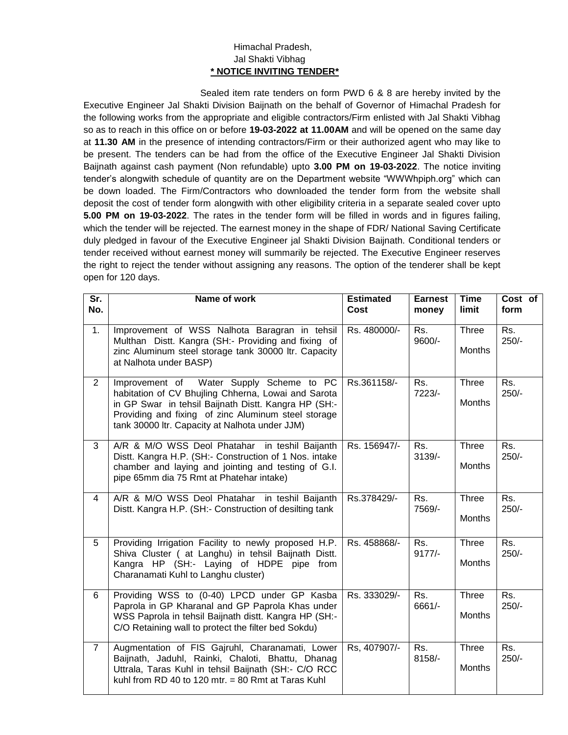## Himachal Pradesh, Jal Shakti Vibhag **\* NOTICE INVITING TENDER\***

Sealed item rate tenders on form PWD 6 & 8 are hereby invited by the Executive Engineer Jal Shakti Division Baijnath on the behalf of Governor of Himachal Pradesh for the following works from the appropriate and eligible contractors/Firm enlisted with Jal Shakti Vibhag so as to reach in this office on or before **19-03-2022 at 11.00AM** and will be opened on the same day at **11.30 AM** in the presence of intending contractors/Firm or their authorized agent who may like to be present. The tenders can be had from the office of the Executive Engineer Jal Shakti Division Baijnath against cash payment (Non refundable) upto **3.00 PM on 19-03-2022**. The notice inviting tender's alongwith schedule of quantity are on the Department website "WWWhpiph.org" which can be down loaded. The Firm/Contractors who downloaded the tender form from the website shall deposit the cost of tender form alongwith with other eligibility criteria in a separate sealed cover upto **5.00 PM on 19-03-2022**. The rates in the tender form will be filled in words and in figures failing, which the tender will be rejected. The earnest money in the shape of FDR/ National Saving Certificate duly pledged in favour of the Executive Engineer jal Shakti Division Baijnath. Conditional tenders or tender received without earnest money will summarily be rejected. The Executive Engineer reserves the right to reject the tender without assigning any reasons. The option of the tenderer shall be kept open for 120 days.

| $\overline{\mathsf{Sr.}}$<br>No. | Name of work                                                                                                                                                                                                                                                     | <b>Estimated</b><br>Cost | <b>Earnest</b><br>money | <b>Time</b><br>limit          | Cost of<br>form   |
|----------------------------------|------------------------------------------------------------------------------------------------------------------------------------------------------------------------------------------------------------------------------------------------------------------|--------------------------|-------------------------|-------------------------------|-------------------|
| 1.                               | Improvement of WSS Nalhota Baragran in tehsil<br>Multhan Distt. Kangra (SH:- Providing and fixing of<br>zinc Aluminum steel storage tank 30000 ltr. Capacity<br>at Nalhota under BASP)                                                                           | Rs. 480000/-             | Rs.<br>9600/-           | Three<br><b>Months</b>        | $Rs$ .<br>$250/-$ |
| 2                                | Improvement of Water Supply Scheme to PC<br>habitation of CV Bhujling Chherna, Lowai and Sarota<br>in GP Swar in tehsil Baijnath Distt. Kangra HP (SH:-<br>Providing and fixing of zinc Aluminum steel storage<br>tank 30000 ltr. Capacity at Nalhota under JJM) | Rs.361158/-              | Rs.<br>7223/-           | Three<br><b>Months</b>        | Rs.<br>$250/-$    |
| 3                                | A/R & M/O WSS Deol Phatahar in teshil Baijanth<br>Distt. Kangra H.P. (SH:- Construction of 1 Nos. intake<br>chamber and laying and jointing and testing of G.I.<br>pipe 65mm dia 75 Rmt at Phatehar intake)                                                      | Rs. 156947/-             | Rs.<br>3139/-           | Three<br><b>Months</b>        | Rs.<br>$250/-$    |
| 4                                | A/R & M/O WSS Deol Phatahar in teshil Baijanth<br>Distt. Kangra H.P. (SH:- Construction of desilting tank                                                                                                                                                        | Rs.378429/-              | Rs.<br>7569/-           | <b>Three</b><br>Months        | Rs.<br>$250/-$    |
| 5                                | Providing Irrigation Facility to newly proposed H.P.<br>Shiva Cluster ( at Langhu) in tehsil Baijnath Distt.<br>Kangra HP (SH:- Laying of HDPE pipe from<br>Charanamati Kuhl to Langhu cluster)                                                                  | Rs. 458868/-             | Rs.<br>$9177/-$         | Three<br><b>Months</b>        | Rs.<br>$250/-$    |
| 6                                | Providing WSS to (0-40) LPCD under GP Kasba<br>Paprola in GP Kharanal and GP Paprola Khas under<br>WSS Paprola in tehsil Baijnath distt. Kangra HP (SH:-<br>C/O Retaining wall to protect the filter bed Sokdu)                                                  | Rs. 333029/-             | Rs.<br>6661/-           | <b>Three</b><br><b>Months</b> | Rs.<br>$250/-$    |
| $\overline{7}$                   | Augmentation of FIS Gajruhl, Charanamati, Lower<br>Baijnath, Jaduhl, Rainki, Chaloti, Bhattu, Dhanag<br>Uttrala, Taras Kuhl in tehsil Baijnath (SH:- C/O RCC<br>kuhl from RD 40 to 120 mtr. $= 80$ Rmt at Taras Kuhl                                             | Rs, 407907/-             | Rs.<br>8158/-           | Three<br>Months               | Rs.<br>$250/-$    |